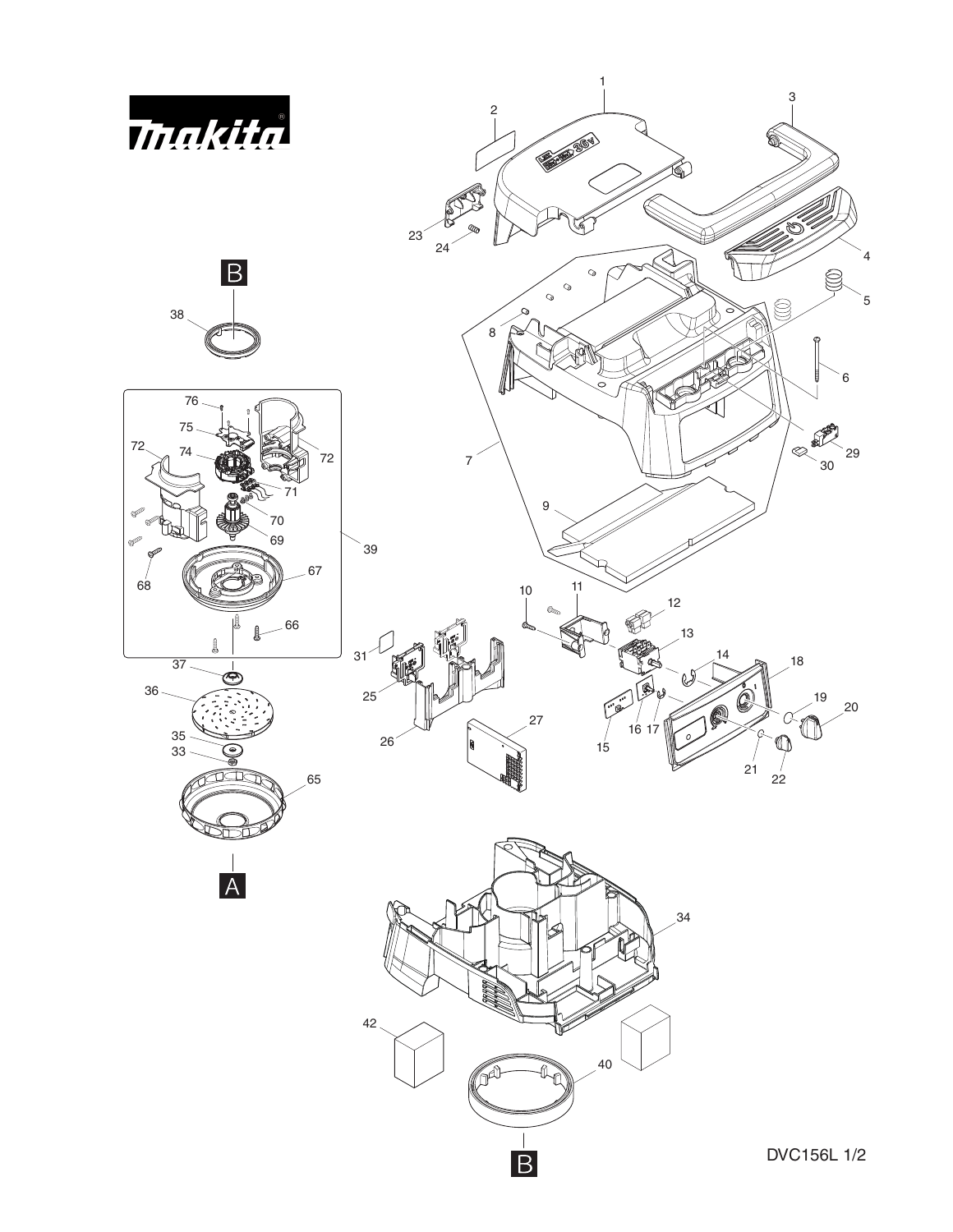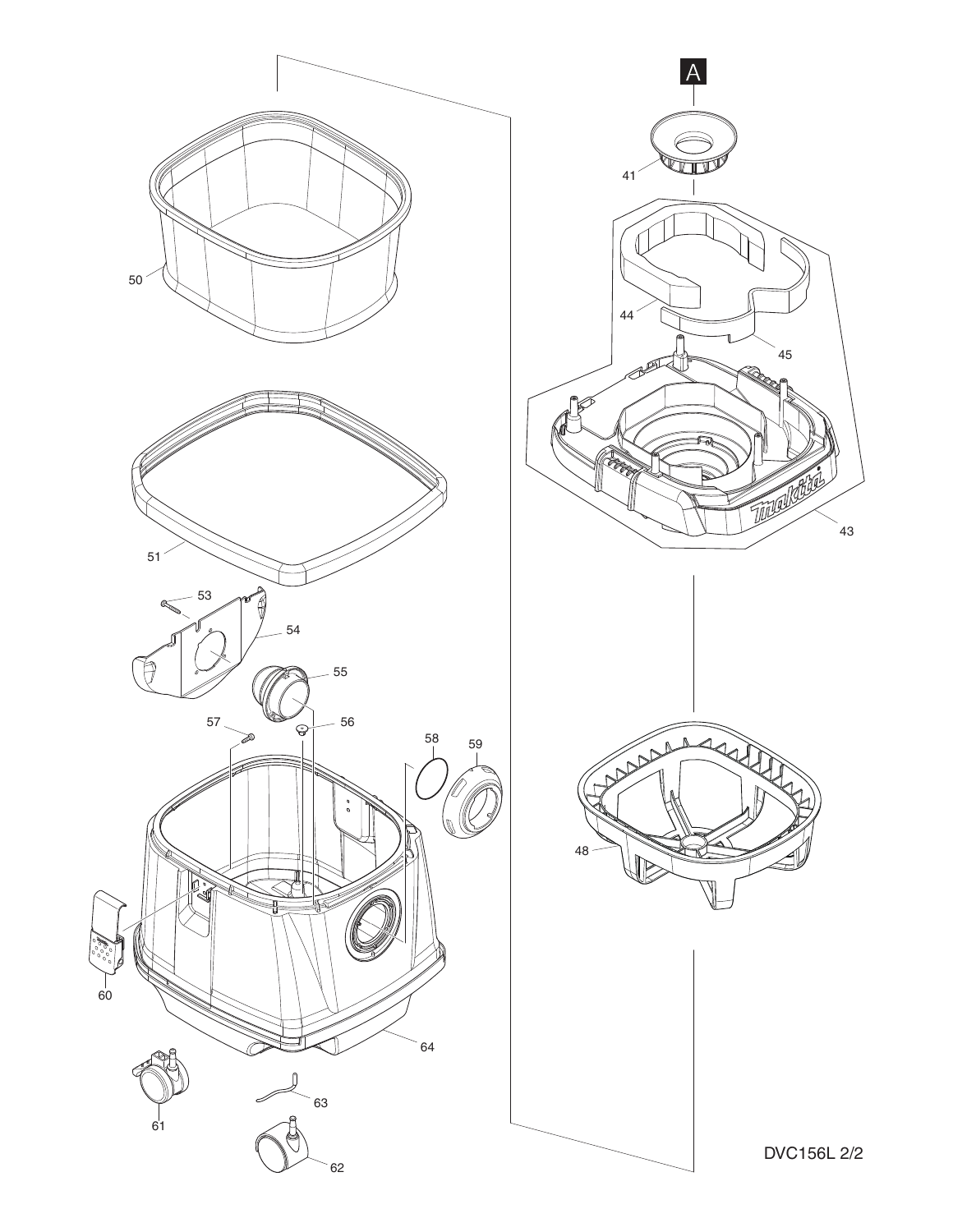

DVC156L 2/2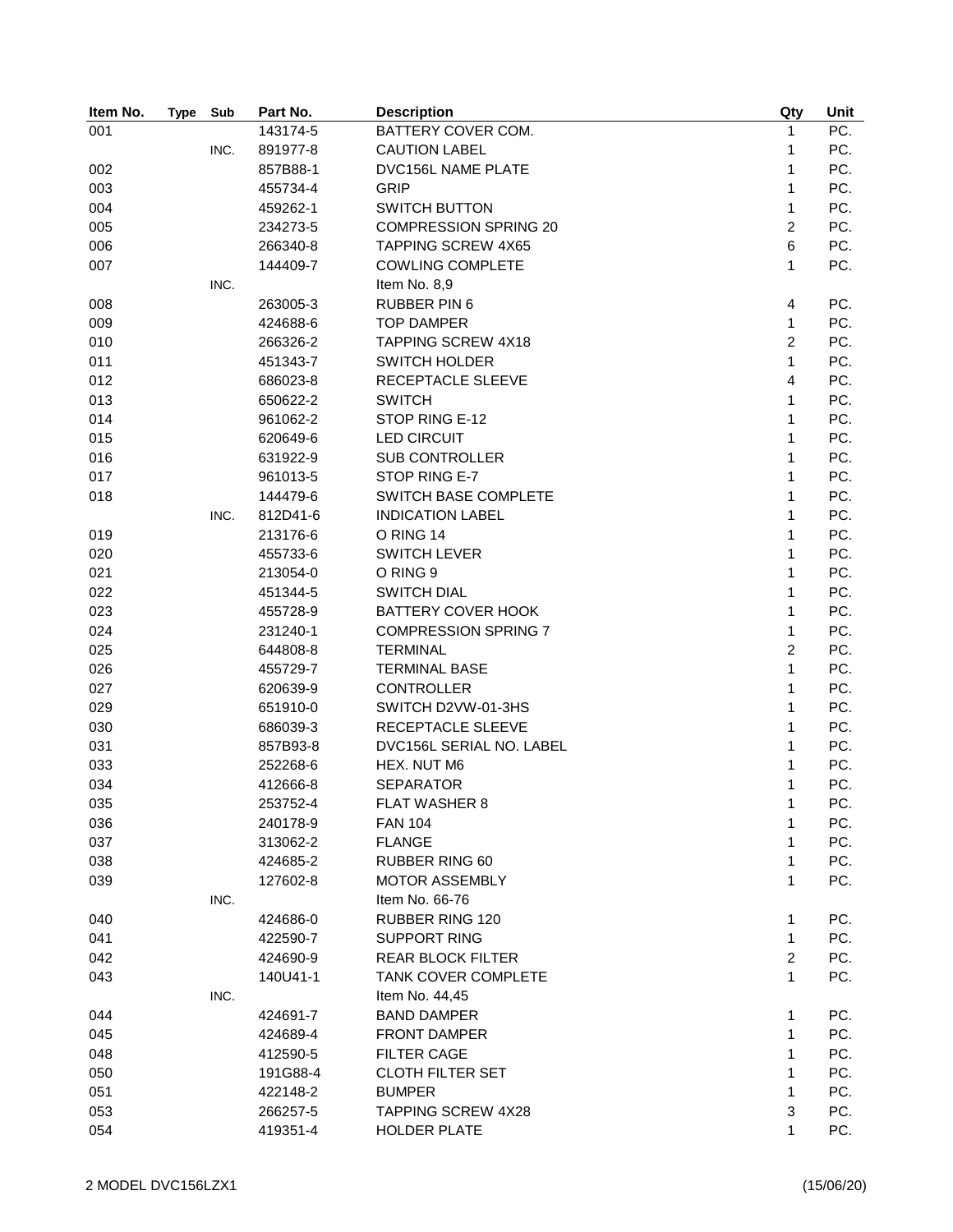| Item No. | <b>Type</b> | Sub  | Part No. | <b>Description</b>           | Qty            | Unit |
|----------|-------------|------|----------|------------------------------|----------------|------|
| 001      |             |      | 143174-5 | BATTERY COVER COM.           | $\mathbf{1}$   | PC.  |
|          |             | INC. | 891977-8 | <b>CAUTION LABEL</b>         | 1              | PC.  |
| 002      |             |      | 857B88-1 | DVC156L NAME PLATE           | $\mathbf{1}$   | PC.  |
| 003      |             |      | 455734-4 | <b>GRIP</b>                  | $\mathbf{1}$   | PC.  |
| 004      |             |      | 459262-1 | <b>SWITCH BUTTON</b>         | $\mathbf{1}$   | PC.  |
| 005      |             |      | 234273-5 | <b>COMPRESSION SPRING 20</b> | $\overline{2}$ | PC.  |
| 006      |             |      | 266340-8 | <b>TAPPING SCREW 4X65</b>    | 6              | PC.  |
| 007      |             |      | 144409-7 | <b>COWLING COMPLETE</b>      | $\mathbf{1}$   | PC.  |
|          |             | INC. |          | Item No. 8,9                 |                |      |
| 008      |             |      | 263005-3 | <b>RUBBER PIN 6</b>          | 4              | PC.  |
| 009      |             |      | 424688-6 | <b>TOP DAMPER</b>            | $\mathbf{1}$   | PC.  |
| 010      |             |      | 266326-2 | <b>TAPPING SCREW 4X18</b>    | 2              | PC.  |
| 011      |             |      | 451343-7 | <b>SWITCH HOLDER</b>         | $\mathbf{1}$   | PC.  |
| 012      |             |      | 686023-8 | RECEPTACLE SLEEVE            | 4              | PC.  |
| 013      |             |      | 650622-2 | <b>SWITCH</b>                | 1              | PC.  |
| 014      |             |      | 961062-2 | STOP RING E-12               | 1              | PC.  |
| 015      |             |      | 620649-6 | <b>LED CIRCUIT</b>           | 1              | PC.  |
| 016      |             |      | 631922-9 | <b>SUB CONTROLLER</b>        | $\mathbf{1}$   | PC.  |
| 017      |             |      | 961013-5 | STOP RING E-7                | 1              | PC.  |
| 018      |             |      | 144479-6 | SWITCH BASE COMPLETE         | $\mathbf{1}$   | PC.  |
|          |             | INC. | 812D41-6 | <b>INDICATION LABEL</b>      | 1              | PC.  |
| 019      |             |      | 213176-6 | O RING 14                    | 1              | PC.  |
| 020      |             |      | 455733-6 | <b>SWITCH LEVER</b>          | 1              | PC.  |
| 021      |             |      | 213054-0 | O RING 9                     | 1              | PC.  |
| 022      |             |      | 451344-5 | <b>SWITCH DIAL</b>           | $\mathbf{1}$   | PC.  |
| 023      |             |      | 455728-9 | <b>BATTERY COVER HOOK</b>    | 1              | PC.  |
| 024      |             |      | 231240-1 | <b>COMPRESSION SPRING 7</b>  | 1              | PC.  |
| 025      |             |      | 644808-8 | <b>TERMINAL</b>              | $\overline{c}$ | PC.  |
| 026      |             |      | 455729-7 | <b>TERMINAL BASE</b>         | $\mathbf{1}$   | PC.  |
| 027      |             |      | 620639-9 | <b>CONTROLLER</b>            | 1              | PC.  |
| 029      |             |      | 651910-0 | SWITCH D2VW-01-3HS           | 1              | PC.  |
| 030      |             |      | 686039-3 | RECEPTACLE SLEEVE            | 1              | PC.  |
| 031      |             |      | 857B93-8 | DVC156L SERIAL NO. LABEL     | $\mathbf{1}$   | PC.  |
| 033      |             |      | 252268-6 | HEX. NUT M6                  | 1              | PC.  |
| 034      |             |      | 412666-8 | <b>SEPARATOR</b>             | 1              | PC.  |
| 035      |             |      | 253752-4 | FLAT WASHER 8                | 1              | PC.  |
| 036      |             |      | 240178-9 | <b>FAN 104</b>               | 1              | PC.  |
| 037      |             |      | 313062-2 | <b>FLANGE</b>                | 1              | PC.  |
| 038      |             |      | 424685-2 | RUBBER RING 60               | 1              | PC.  |
| 039      |             |      | 127602-8 | <b>MOTOR ASSEMBLY</b>        | 1              | PC.  |
|          |             | INC. |          | Item No. 66-76               |                |      |
| 040      |             |      | 424686-0 | <b>RUBBER RING 120</b>       | 1              | PC.  |
| 041      |             |      | 422590-7 | <b>SUPPORT RING</b>          | 1              | PC.  |
| 042      |             |      | 424690-9 | <b>REAR BLOCK FILTER</b>     | $\overline{c}$ | PC.  |
|          |             |      | 140U41-1 | <b>TANK COVER COMPLETE</b>   | 1              | PC.  |
| 043      |             |      |          | Item No. 44,45               |                |      |
|          |             | INC. |          |                              |                |      |
| 044      |             |      | 424691-7 | <b>BAND DAMPER</b>           | 1              | PC.  |
| 045      |             |      | 424689-4 | <b>FRONT DAMPER</b>          | 1              | PC.  |
| 048      |             |      | 412590-5 | <b>FILTER CAGE</b>           | 1              | PC.  |
| 050      |             |      | 191G88-4 | <b>CLOTH FILTER SET</b>      | 1              | PC.  |
| 051      |             |      | 422148-2 | <b>BUMPER</b>                | 1              | PC.  |
| 053      |             |      | 266257-5 | TAPPING SCREW 4X28           | 3              | PC.  |
| 054      |             |      | 419351-4 | HOLDER PLATE                 | 1              | PC.  |